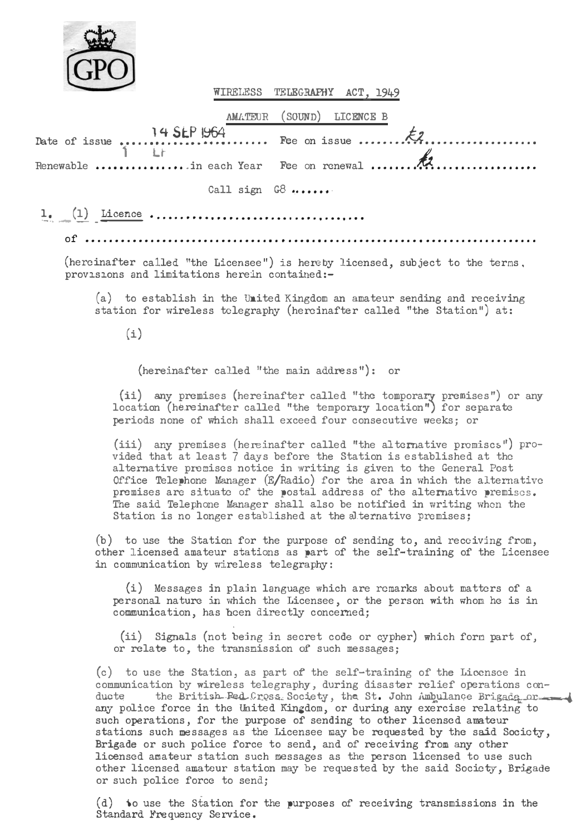

WIRELESS TELEGRAPHY ACT. 1949

AMATEUR (SOUND) LICENCE B

|                     | Renewable in each Year Fee on renewal |
|---------------------|---------------------------------------|
| $C211$ sign $C21$ , |                                       |

(hereinafter called "the Licensee") is hereby licensed, subject to the terms, provisions and limitations herein contained:-

(a) to establish in the United Kingdom an amateur sending and receiving station for wireless telegraphy (hereinafter called "the Station") at:

 $(i)$ 

(hereinafter called "the main address"): or

(ii) any premises (hereinafter called "the tomporary premises") or any location (hereinafter called "the temporary location") for separate periods none of which shall exceed four consecutive weeks: or

(iii) any premises (hereinafter called "the alternative premises") provided that at least 7 days before the Station is established at the alternative premises notice in writing is given to the General Post Office Telembone Manager  $(B/Radio)$  for the area in which the alternative premises are situate of the wostal address of the alternative wremises. The said Telephone Manager shall also be notified in writing when the Station is no longer established at the alternative premises:

(b) to use the Station for the purpose of sending to, and receiving from, other licensed amateur stations as part of the self-training of the Licensee in communication by wireless telegraphy:

(i) Messages in plain language which are remarks about matters of a personal nature in which the Licensee, or the person with whom he is in communication, has been directly concerned;

(ii) Signals (not being in secret code or cypher) which form part of, or relate to, the transmission of such messages;

(c) to use the Station, as part of the self-training of the Licensee in communication by wireless telegraphy, during disaster relief operations conthe British Red Cross Society, the St. John Ambulance Brigada.or ducte any police force in the United Kingdom, or during any exercise relating to such operations, for the purpose of sending to other licensed amateur stations such messages as the Licensee may be requested by the said Society, Brigade or such police force to send, and of receiving from any other licensed amateur station such messages as the person licensed to use such other licensed amateur station may be requested by the said Society, Brigade or such police force to send;

(d) to use the Station for the purposes of receiving transmissions in the Standard Frequency Service.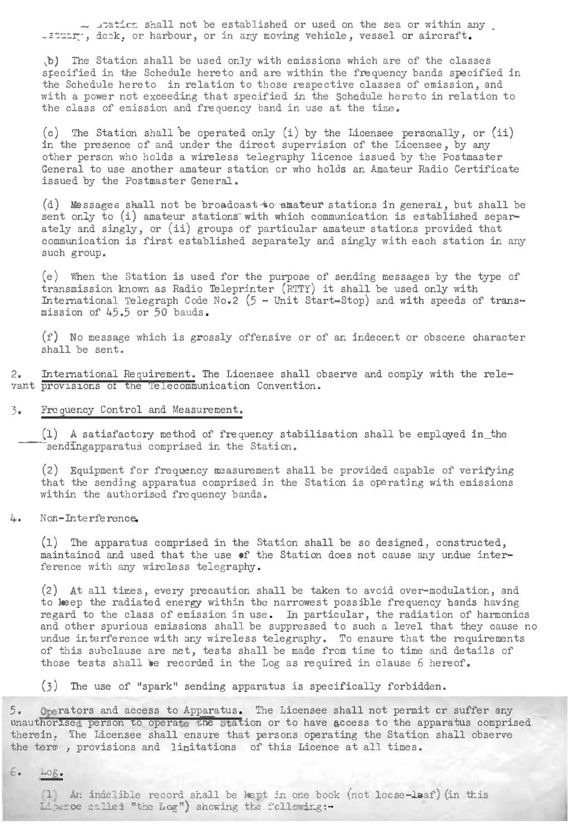$-$  . sticm shall not be established or used on the sea or within any  $\overline{\phantom{a}}$ .stuar . deck, or harbour, or in any moving vehicle, vessel or aircraft.

.b) The Station shall be used only with emissions which are of the classes stecified in the Schedule hereto and are within the frequency bands specified in the Schedule hereto in relation to those respective classes of emission, and with a power not exceeding that specified in the Schedule hereto in relation to the class of emission and frequency band in use at the time.

(c) The Station shall 'be operated only (i) by the Licensee personally, or (ii) in the presence of and under the direct supervision of the Licensee, by any other person who holds a wireless telegraphy licence issued by the Postmaster General to use another amateur station or who holds an Amateur Radio Certificate issued by the Postmaster GeneraJ..

(d) Messages shall not be broadoast to amateur stations in general, but shall be sent only to (i) amateur stations with which communication is established separately and singly, or (ii) groups of particular amateur stations provided that communication is first established separately and singly with each station in any such group.

(e) 'ffnen the Station is used for the purpose of sending messages by the type of transmission known as Radio Teleprinter (RTTY) it shall be used only with International Telegraph Code No.2 (5 - Unit Start-Stop) and with speeds of transmission of 45.5 or 50 bauds.

(f) No message which is grossly offensive or of an indecent or obscene character shall be sent.

2. International Requirement. The Licensee shall observe and comply with the relevant provisions of the 'Ielecommunication Convention.

## 3. Frequency Control and Measurement.

(1) A satisfactory method of frequency stabilisation shall be employed in the sendIngapparatus comprised in the Station.

 $(2)$  Equipment for frequency massurement shall be provided capable of verifying that the sending apparatus comprised in the Station is operating uith emissions within the authorised frequency bands.

# 4. Non-Interference.

(1) The apparatus comprised in the Station shall be so designed, constructed, maintained and used that the use of the Station does not cause any undue interference with any wireless telegraphy.

 $(2)$  At all times, every precaution shall be taken to avoid over-modulation, and to keep the radiated energy uithin the narrowest possible frequency bands having regard to the class of emission in use. In particular, the radiation of harmonics and other spurious emissions shall be suppressed to such a level that they cause no undue interference with any wireless telegraphy. To ensure that the requirements of this subclause are met, tests shall be made from time to time and details of those tests shall be recorded in the Log as required in clause 6 hereof.

(3) The use of "spark" sending apparatus is specifically forbidden.

5. Operators and access to Apparatus. The Licensee shall not permit or suffer any<br>wnauthorised person to operate the Station or to have access to the apparatus comprised therein. The Licensee shall ensure that persons operating the Station shall observe the term, provisions and limitations of this Licence at all times.

 $6.$   $Log.$ 

(1) An indelible record shall be kept in one book (not locse-leaf) (in this Literce called "the Log") showing the following :-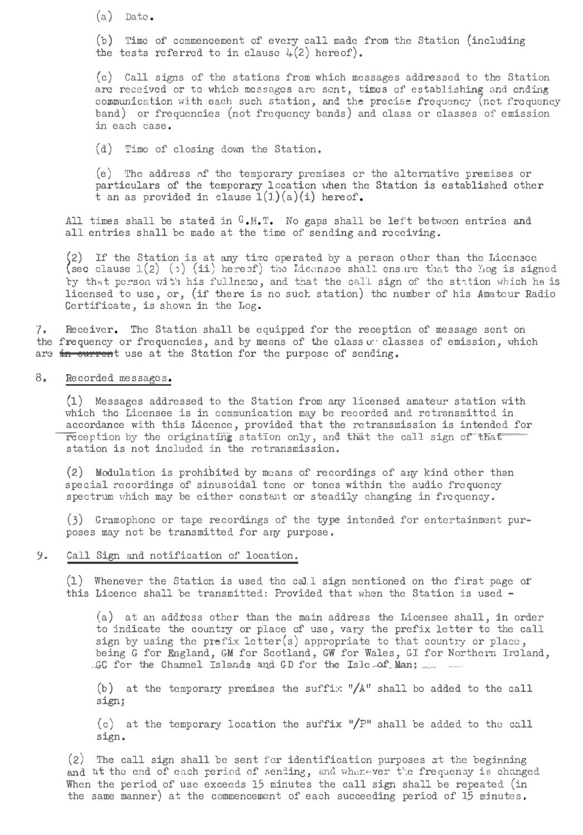$(a)$  Date.

(b) Time of' commencement of every call made from the Station (including the tests referred to in clause  $\mu(2)$  hereof).

(c) Call signs of the stations from which messages addressed to the Station are received or to which messages are sent, times of establishing and ending<br>communication with each such station, and the precise frequency (not frequency band) or frequencies (not frequency bands) and class or classes of emission in each case.

(d) Time of closing down the Station.

 $(e)$  The address of the temporary premises or the alternative premises or particulars of the temporary location when the Station is established other<br>t an as provided in clause  $1(1)(a)(i)$  hereof.

All times shall be stated in  $G$ ,  $H$ ,  $T$ . No gaps shall be left between entries and all entries shall be made at the time of sending and receiving,

(2) If the Station is at any time operated by a person other than the Licensec (sec clause 1(2) ( $\cdot$ ) (ii) here of) tilu Liccnsce shall ensure that the log is signed by that person with his fullnese, and that the call sign of the station which he is licensed to use, or, (if there is no such station) the number of his Amatcur Radio Certificate, is shown in the Log.

7. Receiver. The Station shall be equipped for the reception of message sent on the frequency or frequencies, and by means of the class o: classes of emission. which are in current use at the Station for the purpose of sending.

8, Recorded messages,

(1) Messages addressed to the Station from any licensed amateur station uith which the Licensee is in communication may be recorded and retransmitted in accordance with this Licence, provided that the retransmission is intended for reception by the originating station only, and that the call sign of that station is not included in the retransmission.

(2) Modulation is prohibited by means of recordings of any kind other than special recordings of sinusoidal tone or tones within the audio frequency spectrum which may be either constant or steadily changing in frequency.

(3) Gramophonc or tape recordings of the type intended for entertainment purposes may not be transmitted for any purpose.

9. Call Sign and notification of location.

(1) Whenever the Station is used tho cal. l sign mentioned on the first page or this Licence shall be transmitted: Provided that when the Station is used -

(a) at an add±css other than the main address the Licensee shall, in order to indicate the country or place of use, vary the prefix letter to the call sign by using the prefix letter(s) appropriate to that country or place, being G for England, GM for Scotland, GW for Wales, GI for Northern Ireland, .GC for the Channel Islands and GD for the Islc.af Man:

(b) at the temporary premises the suffix  $*/A''$  shall bo added to the call sign;

(c) at the temporary location the suffix "/P" shall be added to the call sign.

 $(2)$  The call sign shall be sent for identification purposes at the beginning and at the end of each period of sending, and when ver the frequency is changed When the period of use exceeds 15 minutes the call sign shall be repeated (in the same manner) at the commencement of each succeeding period of 15 minutes.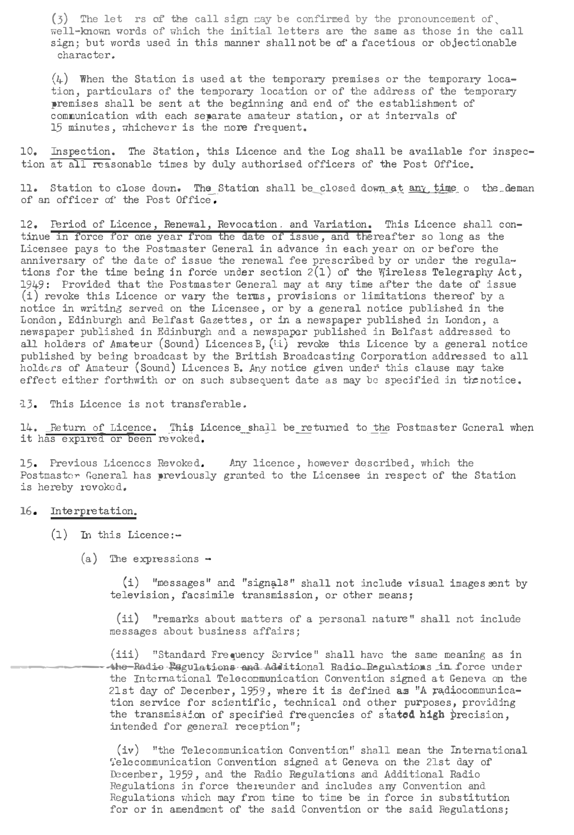$(3)$  The let rs of the call sign may be confirmed by the pronouncement of. well-known words of which the initial letters are the same as those in the call sign; but words used in this manner shall not be of' a facetious or objectionable character.

 $(h)$  When the Station is used at the temporary premises or the temporary location, particulars of the temporary location or of the address of the temporary premises shall be sent at the beginning and end of the establishment of communication with each separate amateur station, or at intervals of 15 minutes, whichever is the nore frequent.

10. Inspection. The Station, this Licence and the Log shall be available for inspection at all reasonable times by duly authorised officers of the Post Office.

11. Station to close down. The Station shall be\_closed down at any time o the\_deman of an officer of the Post Office.

12. FBriod of Licence, Renewal, Revocation. and Variation. This Licence shall continue in force for one year from the date of issue, and thereafter so long as the Licensee pays to the Postmaster General in advance in each year on or before the anniversary of the date of issue the renewal fee prescribed by or under the regula-<br>tions for the time being in force under section 2(1) of the Wireless Telegraphy Act, 1949: Provided that the Postmaster General may at any time after the date of issue  $(i)$  revoke this Licence or vary the terms, provisions or limitations thereof by a notice in writing served on the Licensee, or by a general notice published in the London, Edinburgh and Belfast Gazettes, or in a newspaper published in London, a newspaper published in Edinburgh and a newspaper published in Belfast addressed to all holders of Amateur (Sound) Licences B,  $(i)$  revoke this Licence by a general notice published by being broadcast by the British Broadcasting Corporation addressed to all holders of Amateur (Sound) Licences B. Any notice given under this clause may take effect either forthwith or on such subsequent date as may be specified in the notice.

::13. This Licence is not transferable.

14. Return of Licence. This Licence shall be returned to the Postmaster General when it has expired or been revoked.

15. Previous Licences Revoked. Any licence, however described, which the Postmastor General has previously granted to the Licensee in respect of the Station is hereby revoked.

#### 16. Interpretation.

- (1) In this Licence:-
	- (a) The expressions -

(i) "messages" and "signals" shall not include visual images sent by television, facsimile transmission, or other means;

(ii) "remarks about matters of a personal nature" shall not include messages about business affairs;

(iii) "Standard Frequency Service" shall have the same meaning as in ------<lhe--R&d-io�gu1&tion&-and-A.ddational Rad.io.Jmgul.a.:tions\_\_in\_f'orce llllder the International Telocoocunication Convention signed at Geneva on the 21st day of December, 1959, where it is defined as "A radiocommunication service for scientific, technical ond other purposes, providing the transmistion of specified frequencies of stated high precision. intended for general reception";

(iv) "the Telecommunication Convention" shall mean the International Telecommunication Convention signed at Geneva on the 21st day of Ieceober, 1959, and the Radio Regulations and Additional Radio Regulations in force thereunder and includes any Convention and Regulations which may from time to time be in force in substitution for or in amendment of the said Convention or the said Regulations: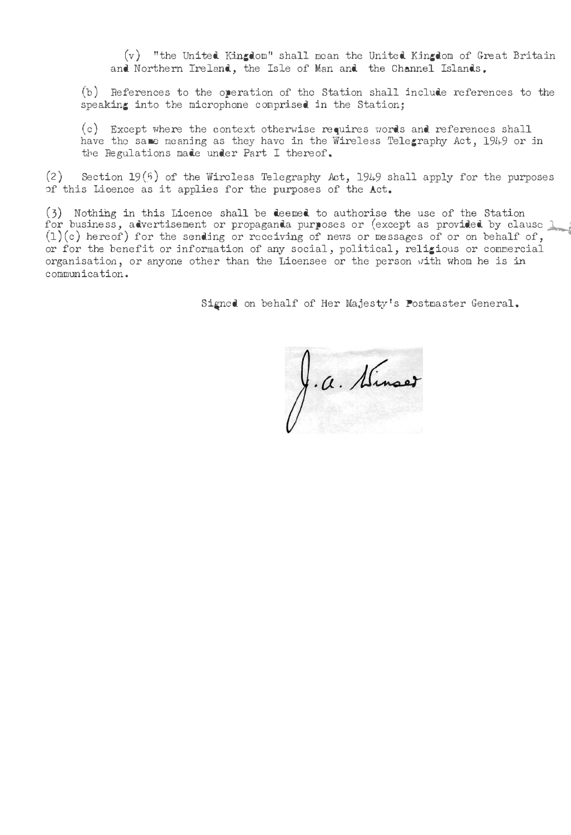$(v)$  "the United Kingdom" shall mean the United Kingdom of Great Britain and Northern Ireland, the Isle of Man and the Channel Islands.

(b) References to the operation of the Station shall include references to the speaking into the microphone comprised in the Station;

(c) Except where the context othernise requires uords and references shall have the same meaning as they have in the Wireless Telegraphy Act, 1949 or in the Regulations made under Part I thereof.

(2) Section 19(5) of the Wireless Telegraphy Act, 1949 shall apply for the purposes of this Licence as it applies for the purposes of the Act.

(3) Nothing in this Licence shall be deemed to authorise the use of the Station<br>for business, advertisement or propaganda purposes or (except as provided by clause ). (1) (c) hereof) for the sending or receiving of news or messages of or on behalf of, or for the benefit or information of any social, political, religious or cornrnercial organisation, or anyone other than the Licensee or the person vlith whom he is in communication.

Signed on behalf of Her Majesty's Postmaster General.

J.a. Sinaet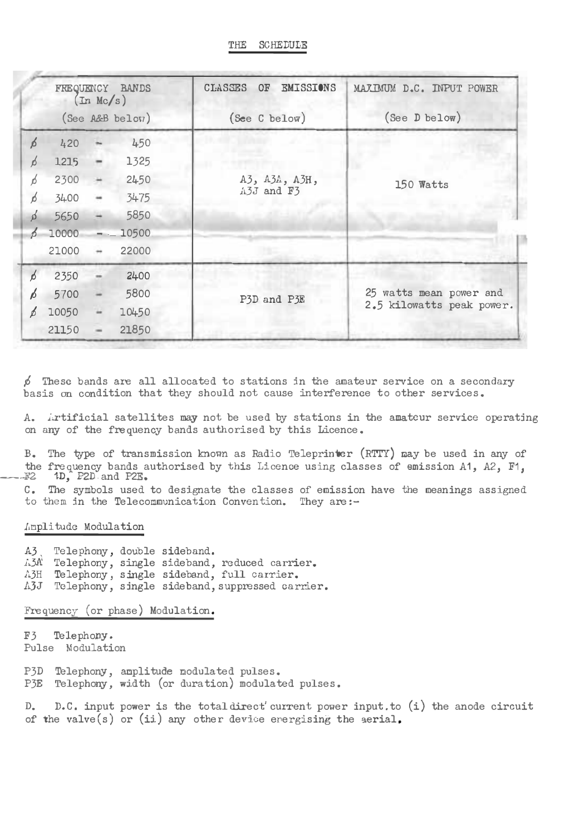THE SCHEDULE

| FREQUENCY BANDS<br>(In Mc/s) |                 |               |       | <b>EMISSIONS</b><br>CLASSES<br>0F | MAXIMUM D.C. INPUT POWER  |  |  |
|------------------------------|-----------------|---------------|-------|-----------------------------------|---------------------------|--|--|
|                              | (See A&B below) |               |       | (See C below)                     | $(See \t$ D below)        |  |  |
| 6                            | 420             |               | 450   |                                   |                           |  |  |
| ń                            | 1.215           |               | 1325  |                                   | 150 Watts                 |  |  |
| ń                            | 2300            | ×             | 2450  | A3, A3A, A3H,                     |                           |  |  |
| ń                            | 3400            |               | 3475  | A3J and F3                        |                           |  |  |
|                              | 5650            |               | 5850  |                                   |                           |  |  |
|                              | 10000           |               | 10500 |                                   |                           |  |  |
|                              | 21000           | $\rightarrow$ | 22000 |                                   |                           |  |  |
| $\beta$                      | 2350            |               | 2400  |                                   |                           |  |  |
| Ь                            | 5700            |               | 5800  | P3D and P3E                       | 25 watts mean power and   |  |  |
|                              | 10050           |               | 10450 |                                   | 2.5 kilowatts peak power. |  |  |
|                              | 21150           |               | 21850 |                                   |                           |  |  |

 $\beta$  These bands are all allocated to stations in the amateur service on a secondary basis on condition that they should not cause interference to other services.

A. Artificial satellites may not be used by stations in the amatcur service operating on any of the frequency bands authorised by this Licence.

B. The type of transmission known as Radio Teleprinter (RTTY) may be used in any of the frequency bands authorised by this Licence using classes of emission A1, A2, F1. #2 1D, P2D and P2E.

C. The symbols used to designate the classes of emission have the meanings assigned to them in the Telecommunication Convention. They are:-

## Amplitude Modulation

 $A3$ Telephony, double sideband. A3A Telephony, single sideband, reduced carrier. A3H Telephony, single sideband, full carrier. A3J Telephony, single sideband, suppressed carrier.

Frequency (or phase) Modulation.

F3 Telephony. Pulse Modulation

P3D Telephony, amplitude modulated pulses. P3E Telephony, width (or duration) modulated pulses.

D. D.C. input power is the total direct' current power input.to (i) the anode circuit of the valve(s) or (ii) any other device energising the aerial.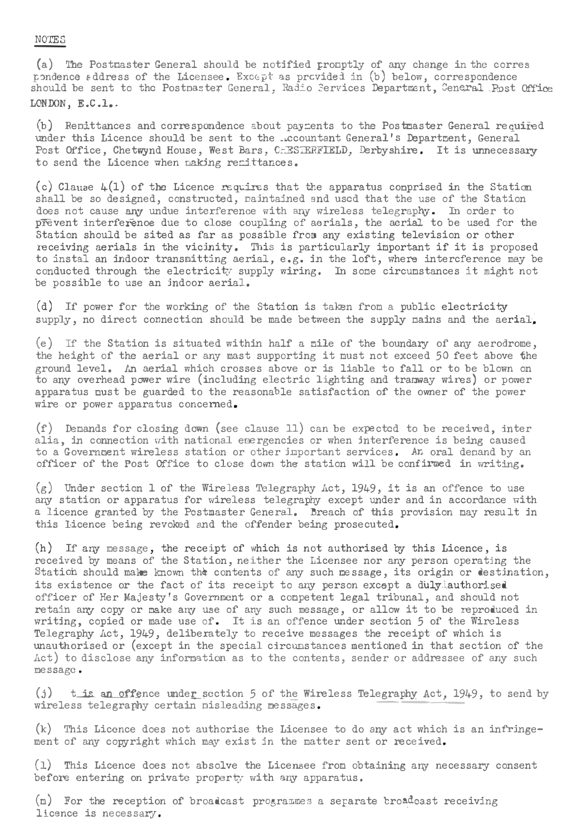### NOTES

(a) The Postmaster General should be notified promptly of any change in the corres pondence address of the Licensee. Except as provided in (b) below, correspondence<br>should be sent to the Postnaster General. Radio Services Department, General Post Office LONDON, E.C.l..

(b) Remittances and correspondence sbout payments to the Postmaster General required wader this Licence should be sent to the ... countant General's Department, General Post Office, Chetwynd House, West Bars, CHESTERFIELD, Derbyshire. It is unnecessary to send the Licence when naking remittances.

(c) Clause  $4(1)$  of the Licence requires that the apparatus comprised in the Station shall be so designed, constructed, maintained and used that the use of the Station does not cause any undue interference with any wireless telegraphy. In order to prevent interference due to close coupling of aerials, the aerial to be used for the Station should be sited as far as possible from any existing television or other receiving aerials in the vicinity. This is particularly important if it is proposed to instal an indoor transmitting aerial, e.g. in the loft, where intercference may be conducted through the electricity supply wiring. In some circumstances it might not be possible to use an indoor aerial.

(d) If power for the working of the Station is taken from a public electricity supply, no direct connection should be made between the supply mains and the aerial.

(e) If the Station is situated within half a mile of the boundary of any aerodrome, the height of the aerial or any mast supporting it must not exceed 50 feet above the ground level. An aerial which crosses above or is liable to fall or to be blown on to any overhead power wire (including electric lighting and tranway wires) or power apparatus must be guarded to the reasonable satisfaction of the owner of the power wire or power apparatus concerned.

(f) Demands for closing down (see clause 11) can be expected to be received, inter alia, in connection with national energencies or when interference is being caused to a Government wireless station or other important services. An oral denand by an officer of the Post Office to close down the station will be confirmed in writing.

 $(g)$  Under section 1 of the Wireless Telegraphy Act, 1949, it is an offence to use any station or apparatus for wireless telegraphy except under and in accordance with a licence granted by the Postmaster General. Breach of this provision may result in this licence being revoked and the offender being prosecuted.

(h) If any message, the receipt of which is not authorised by this Licence, is received by means of the Station, neither the Licensee nor any person operating the Station should make known the contents of any such message, its origin or destination, its existence or the fact of its receipt to any person except a duly authorised officer of Her Majesty's Government or a competent legal tribunal, and should not retain any copy or make any use of any such message, or allow it to be reproduced in writing, copied or made use of. It is an offence under section 5 of the Wireless Telegraphy Act, 1949, deliberately to receive messages the receipt of which is unauthorised or (except in the special circumstances mentioned in that section of the Act) to disclose any information as to the contents, sender or addressee of any such message.

 $(j)$  tis an offence under section 5 of the Wireless Telegraphy Act, 1949, to send by wireless telegraphy certain pisleading messages.

(k) This Licence does not authorise the Licensee to do any act which is an infringement of any copyright which may exist in the matter sent or received.

(1) This Licence does not absolve the Licensee from obtaining any necessary consent before entering on private property with any apparatus.

(n) For the reception of broadcast programmes a separate broadcast receiving licence is necessary.